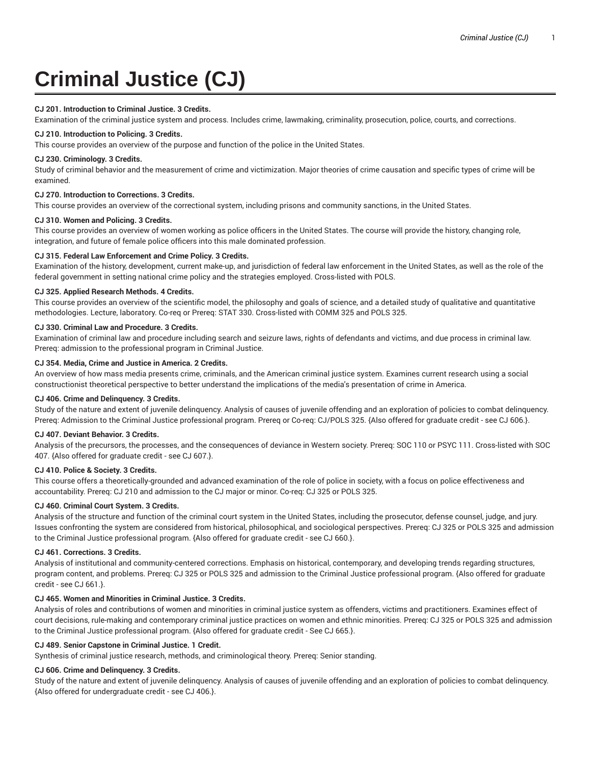# **Criminal Justice (CJ)**

#### **CJ 201. Introduction to Criminal Justice. 3 Credits.**

Examination of the criminal justice system and process. Includes crime, lawmaking, criminality, prosecution, police, courts, and corrections.

## **CJ 210. Introduction to Policing. 3 Credits.**

This course provides an overview of the purpose and function of the police in the United States.

#### **CJ 230. Criminology. 3 Credits.**

Study of criminal behavior and the measurement of crime and victimization. Major theories of crime causation and specific types of crime will be examined.

# **CJ 270. Introduction to Corrections. 3 Credits.**

This course provides an overview of the correctional system, including prisons and community sanctions, in the United States.

#### **CJ 310. Women and Policing. 3 Credits.**

This course provides an overview of women working as police officers in the United States. The course will provide the history, changing role, integration, and future of female police officers into this male dominated profession.

# **CJ 315. Federal Law Enforcement and Crime Policy. 3 Credits.**

Examination of the history, development, current make-up, and jurisdiction of federal law enforcement in the United States, as well as the role of the federal government in setting national crime policy and the strategies employed. Cross-listed with POLS.

#### **CJ 325. Applied Research Methods. 4 Credits.**

This course provides an overview of the scientific model, the philosophy and goals of science, and a detailed study of qualitative and quantitative methodologies. Lecture, laboratory. Co-req or Prereq: STAT 330. Cross-listed with COMM 325 and POLS 325.

#### **CJ 330. Criminal Law and Procedure. 3 Credits.**

Examination of criminal law and procedure including search and seizure laws, rights of defendants and victims, and due process in criminal law. Prereq: admission to the professional program in Criminal Justice.

#### **CJ 354. Media, Crime and Justice in America. 2 Credits.**

An overview of how mass media presents crime, criminals, and the American criminal justice system. Examines current research using a social constructionist theoretical perspective to better understand the implications of the media's presentation of crime in America.

## **CJ 406. Crime and Delinquency. 3 Credits.**

Study of the nature and extent of juvenile delinquency. Analysis of causes of juvenile offending and an exploration of policies to combat delinquency. Prereq: Admission to the Criminal Justice professional program. Prereq or Co-req: CJ/POLS 325. {Also offered for graduate credit - see CJ 606.}.

## **CJ 407. Deviant Behavior. 3 Credits.**

Analysis of the precursors, the processes, and the consequences of deviance in Western society. Prereq: SOC 110 or PSYC 111. Cross-listed with SOC 407. {Also offered for graduate credit - see CJ 607.}.

#### **CJ 410. Police & Society. 3 Credits.**

This course offers a theoretically-grounded and advanced examination of the role of police in society, with a focus on police effectiveness and accountability. Prereq: CJ 210 and admission to the CJ major or minor. Co-req: CJ 325 or POLS 325.

## **CJ 460. Criminal Court System. 3 Credits.**

Analysis of the structure and function of the criminal court system in the United States, including the prosecutor, defense counsel, judge, and jury. Issues confronting the system are considered from historical, philosophical, and sociological perspectives. Prereq: CJ 325 or POLS 325 and admission to the Criminal Justice professional program. {Also offered for graduate credit - see CJ 660.}.

#### **CJ 461. Corrections. 3 Credits.**

Analysis of institutional and community-centered corrections. Emphasis on historical, contemporary, and developing trends regarding structures, program content, and problems. Prereq: CJ 325 or POLS 325 and admission to the Criminal Justice professional program. {Also offered for graduate credit - see CJ 661.}.

## **CJ 465. Women and Minorities in Criminal Justice. 3 Credits.**

Analysis of roles and contributions of women and minorities in criminal justice system as offenders, victims and practitioners. Examines effect of court decisions, rule-making and contemporary criminal justice practices on women and ethnic minorities. Prereq: CJ 325 or POLS 325 and admission to the Criminal Justice professional program. {Also offered for graduate credit - See CJ 665.}.

# **CJ 489. Senior Capstone in Criminal Justice. 1 Credit.**

Synthesis of criminal justice research, methods, and criminological theory. Prereq: Senior standing.

## **CJ 606. Crime and Delinquency. 3 Credits.**

Study of the nature and extent of juvenile delinquency. Analysis of causes of juvenile offending and an exploration of policies to combat delinquency. {Also offered for undergraduate credit - see CJ 406.}.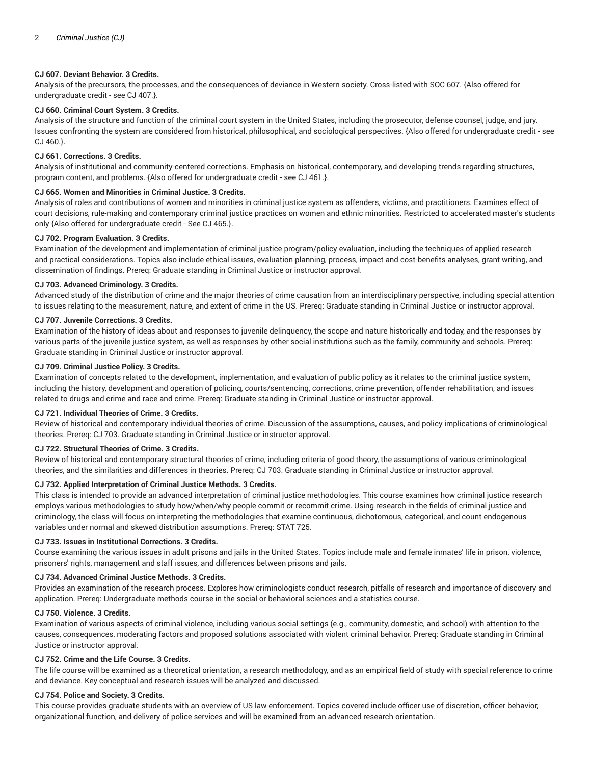# **CJ 607. Deviant Behavior. 3 Credits.**

Analysis of the precursors, the processes, and the consequences of deviance in Western society. Cross-listed with SOC 607. {Also offered for undergraduate credit - see CJ 407.}.

# **CJ 660. Criminal Court System. 3 Credits.**

Analysis of the structure and function of the criminal court system in the United States, including the prosecutor, defense counsel, judge, and jury. Issues confronting the system are considered from historical, philosophical, and sociological perspectives. {Also offered for undergraduate credit - see CJ 460.}.

## **CJ 661. Corrections. 3 Credits.**

Analysis of institutional and community-centered corrections. Emphasis on historical, contemporary, and developing trends regarding structures, program content, and problems. {Also offered for undergraduate credit - see CJ 461.}.

# **CJ 665. Women and Minorities in Criminal Justice. 3 Credits.**

Analysis of roles and contributions of women and minorities in criminal justice system as offenders, victims, and practitioners. Examines effect of court decisions, rule-making and contemporary criminal justice practices on women and ethnic minorities. Restricted to accelerated master's students only {Also offered for undergraduate credit - See CJ 465.}.

# **CJ 702. Program Evaluation. 3 Credits.**

Examination of the development and implementation of criminal justice program/policy evaluation, including the techniques of applied research and practical considerations. Topics also include ethical issues, evaluation planning, process, impact and cost-benefits analyses, grant writing, and dissemination of findings. Prereq: Graduate standing in Criminal Justice or instructor approval.

## **CJ 703. Advanced Criminology. 3 Credits.**

Advanced study of the distribution of crime and the major theories of crime causation from an interdisciplinary perspective, including special attention to issues relating to the measurement, nature, and extent of crime in the US. Prereq: Graduate standing in Criminal Justice or instructor approval.

# **CJ 707. Juvenile Corrections. 3 Credits.**

Examination of the history of ideas about and responses to juvenile delinquency, the scope and nature historically and today, and the responses by various parts of the juvenile justice system, as well as responses by other social institutions such as the family, community and schools. Prereq: Graduate standing in Criminal Justice or instructor approval.

# **CJ 709. Criminal Justice Policy. 3 Credits.**

Examination of concepts related to the development, implementation, and evaluation of public policy as it relates to the criminal justice system, including the history, development and operation of policing, courts/sentencing, corrections, crime prevention, offender rehabilitation, and issues related to drugs and crime and race and crime. Prereq: Graduate standing in Criminal Justice or instructor approval.

# **CJ 721. Individual Theories of Crime. 3 Credits.**

Review of historical and contemporary individual theories of crime. Discussion of the assumptions, causes, and policy implications of criminological theories. Prereq: CJ 703. Graduate standing in Criminal Justice or instructor approval.

## **CJ 722. Structural Theories of Crime. 3 Credits.**

Review of historical and contemporary structural theories of crime, including criteria of good theory, the assumptions of various criminological theories, and the similarities and differences in theories. Prereq: CJ 703. Graduate standing in Criminal Justice or instructor approval.

## **CJ 732. Applied Interpretation of Criminal Justice Methods. 3 Credits.**

This class is intended to provide an advanced interpretation of criminal justice methodologies. This course examines how criminal justice research employs various methodologies to study how/when/why people commit or recommit crime. Using research in the fields of criminal justice and criminology, the class will focus on interpreting the methodologies that examine continuous, dichotomous, categorical, and count endogenous variables under normal and skewed distribution assumptions. Prereq: STAT 725.

## **CJ 733. Issues in Institutional Corrections. 3 Credits.**

Course examining the various issues in adult prisons and jails in the United States. Topics include male and female inmates' life in prison, violence, prisoners' rights, management and staff issues, and differences between prisons and jails.

## **CJ 734. Advanced Criminal Justice Methods. 3 Credits.**

Provides an examination of the research process. Explores how criminologists conduct research, pitfalls of research and importance of discovery and application. Prereq: Undergraduate methods course in the social or behavioral sciences and a statistics course.

## **CJ 750. Violence. 3 Credits.**

Examination of various aspects of criminal violence, including various social settings (e.g., community, domestic, and school) with attention to the causes, consequences, moderating factors and proposed solutions associated with violent criminal behavior. Prereq: Graduate standing in Criminal Justice or instructor approval.

## **CJ 752. Crime and the Life Course. 3 Credits.**

The life course will be examined as a theoretical orientation, a research methodology, and as an empirical field of study with special reference to crime and deviance. Key conceptual and research issues will be analyzed and discussed.

## **CJ 754. Police and Society. 3 Credits.**

This course provides graduate students with an overview of US law enforcement. Topics covered include officer use of discretion, officer behavior, organizational function, and delivery of police services and will be examined from an advanced research orientation.